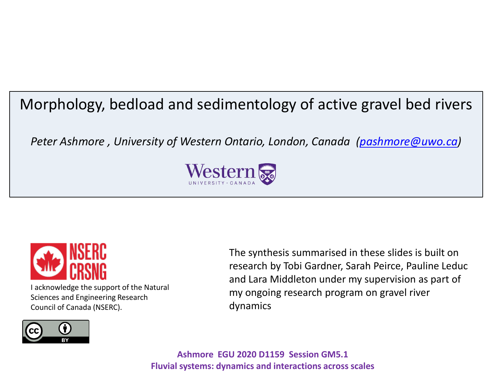# Morphology, bedload and sedimentology of active gravel bed rivers

*Peter Ashmore , University of Western Ontario, London, Canada [\(pashmore@uwo.ca\)](mailto:pashmore@uwo.ca)*





I acknowledge the support of the Natural Sciences and Engineering Research Council of Canada (NSERC).

The synthesis summarised in these slides is built on research by Tobi Gardner, Sarah Peirce, Pauline Leduc and Lara Middleton under my supervision as part of my ongoing research program on gravel river dynamics

**Ashmore EGU 2020 D1159 Session GM5.1 Fluvial systems: dynamics and interactions across scales**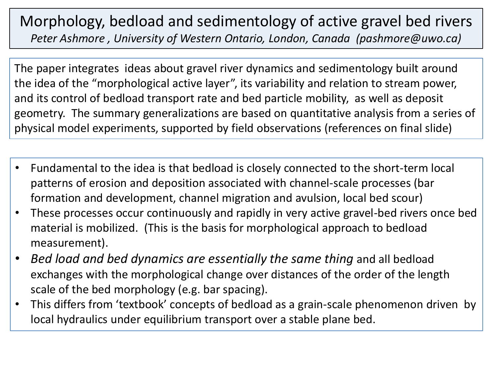## Morphology, bedload and sedimentology of active gravel bed rivers *Peter Ashmore , University of Western Ontario, London, Canada (pashmore@uwo.ca)*

The paper integrates ideas about gravel river dynamics and sedimentology built around the idea of the "morphological active layer", its variability and relation to stream power, and its control of bedload transport rate and bed particle mobility, as well as deposit geometry. The summary generalizations are based on quantitative analysis from a series of physical model experiments, supported by field observations (references on final slide)

- Fundamental to the idea is that bedload is closely connected to the short-term local patterns of erosion and deposition associated with channel-scale processes (bar formation and development, channel migration and avulsion, local bed scour)
- These processes occur continuously and rapidly in very active gravel-bed rivers once bed material is mobilized. (This is the basis for morphological approach to bedload measurement).
- *Bed load and bed dynamics are essentially the same thing* and all bedload exchanges with the morphological change over distances of the order of the length scale of the bed morphology (e.g. bar spacing).
- This differs from 'textbook' concepts of bedload as a grain-scale phenomenon driven by local hydraulics under equilibrium transport over a stable plane bed.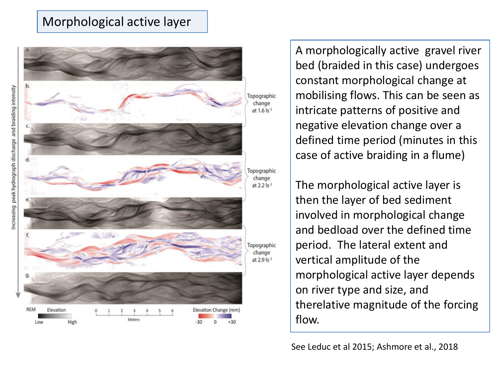#### Morphological active layer



A morphologically active gravel river bed (braided in this case) undergoes constant morphological change at mobilising flows. This can be seen as intricate patterns of positive and negative elevation change over a defined time period (minutes in this case of active braiding in a flume)

The morphological active layer is then the layer of bed sediment involved in morphological change and bedload over the defined time period. The lateral extent and vertical amplitude of the morphological active layer depends on river type and size, and therelative magnitude of the forcing flow.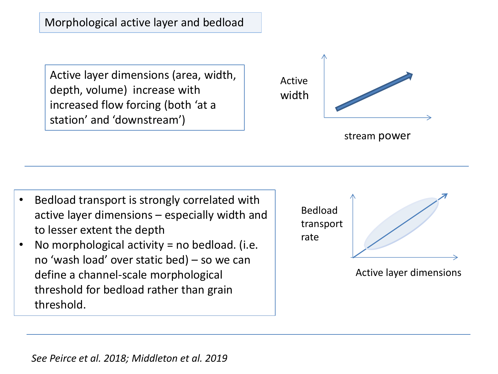Morphological active layer and bedload

Active layer dimensions (area, width, depth, volume) increase with increased flow forcing (both 'at a station' and 'downstream')



- Bedload transport is strongly correlated with active layer dimensions – especially width and to lesser extent the depth
- No morphological activity = no bedload. (i.e. no 'wash load' over static bed) – so we can define a channel-scale morphological threshold for bedload rather than grain threshold.



Active layer dimensions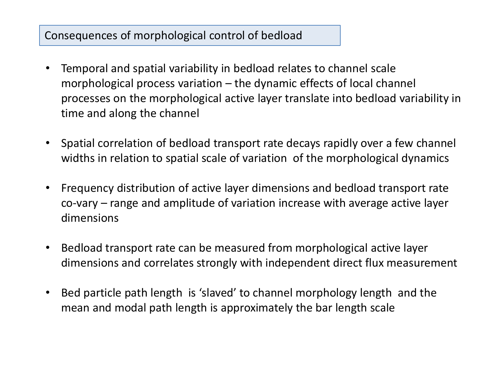### Consequences of morphological control of bedload

- Temporal and spatial variability in bedload relates to channel scale morphological process variation – the dynamic effects of local channel processes on the morphological active layer translate into bedload variability in time and along the channel
- Spatial correlation of bedload transport rate decays rapidly over a few channel widths in relation to spatial scale of variation of the morphological dynamics
- Frequency distribution of active layer dimensions and bedload transport rate co-vary – range and amplitude of variation increase with average active layer dimensions
- Bedload transport rate can be measured from morphological active layer dimensions and correlates strongly with independent direct flux measurement
- Bed particle path length is 'slaved' to channel morphology length and the mean and modal path length is approximately the bar length scale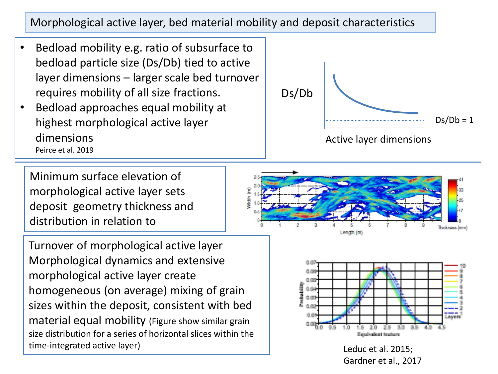Morphological active layer, bed material mobility and deposit characteristics

- Bedload mobility e.g. ratio of subsurface to bedload particle size (Ds/Db) tied to active layer dimensions – larger scale bed turnover requires mobility of all size fractions.
- Bedload approaches equal mobility at highest morphological active layer dimensions Peirce et al. 2019

Minimum surface elevation of morphological active layer sets deposit geometry thickness and distribution in relation to

Turnover of morphological active layer Morphological dynamics and extensive morphological active layer create homogeneous (on average) mixing of grain sizes within the deposit, consistent with bed material equal mobility (Figure show similar grain size distribution for a series of horizontal slices within the time-integrated active layer) and the set of the latter of the left and the leduc et al. 2015;







Gardner et al., 2017